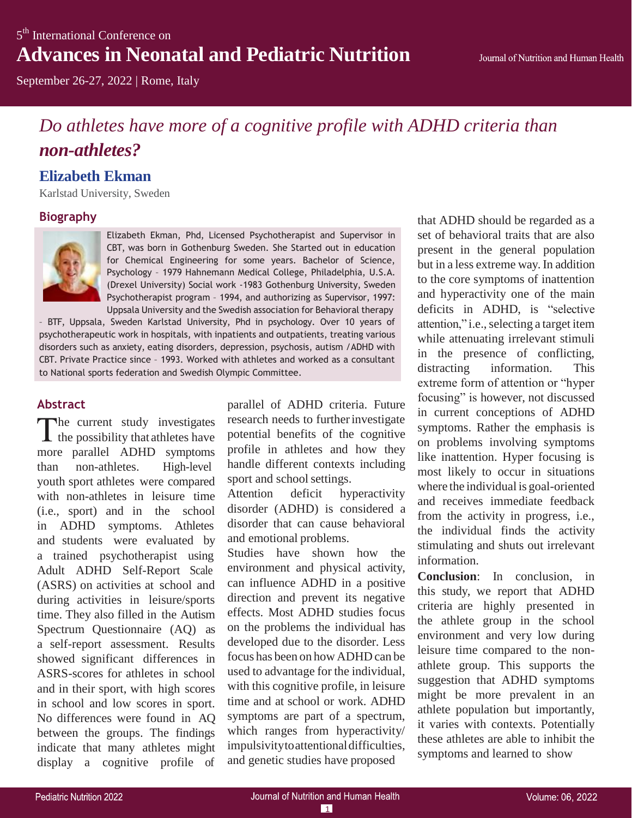September 26-27, 2022 | Rome, Italy

# *Do athletes have more of a cognitive profile with ADHD criteria than non-athletes?*

## **Elizabeth Ekman**

Karlstad University, Sweden

### **Biography**



Elizabeth Ekman, Phd, Licensed Psychotherapist and Supervisor in CBT, was born in Gothenburg Sweden. She Started out in education for Chemical Engineering for some years. Bachelor of Science, Psychology – 1979 Hahnemann Medical College, Philadelphia, U.S.A. (Drexel University) Social work -1983 Gothenburg University, Sweden Psychotherapist program – 1994, and authorizing as Supervisor, 1997: Uppsala University and the Swedish association for Behavioral therapy

– BTF, Uppsala, Sweden Karlstad University, Phd in psychology. Over 10 years of psychotherapeutic work in hospitals, with inpatients and outpatients, treating various disorders such as anxiety, eating disorders, depression, psychosis, autism /ADHD with CBT. Private Practice since – 1993. Worked with athletes and worked as a consultant to National sports federation and Swedish Olympic Committee.

#### **Abstract**

The current study investigates  $\blacktriangle$  the possibility that athletes have more parallel ADHD symptoms than non-athletes. High-level youth sport athletes were compared with non-athletes in leisure time (i.e., sport) and in the school in ADHD symptoms. Athletes and students were evaluated by a trained psychotherapist using Adult ADHD Self-Report Scale (ASRS) on activities at school and during activities in leisure/sports time. They also filled in the Autism Spectrum Questionnaire (AQ) as a self-report assessment. Results showed significant differences in ASRS-scores for athletes in school and in their sport, with high scores in school and low scores in sport. No differences were found in AQ between the groups. The findings indicate that many athletes might display a cognitive profile of

parallel of ADHD criteria. Future research needs to further investigate potential benefits of the cognitive profile in athletes and how they handle different contexts including sport and school settings.

Attention deficit hyperactivity disorder (ADHD) is considered a disorder that can cause behavioral and emotional problems.

Studies have shown how the environment and physical activity, can influence ADHD in a positive direction and prevent its negative effects. Most ADHD studies focus on the problems the individual has developed due to the disorder. Less focus has been on how ADHD can be used to advantage for the individual, with this cognitive profile, in leisure time and at school or work. ADHD symptoms are part of a spectrum, which ranges from hyperactivity/ impulsivitytoattentionaldifficulties, and genetic studies have proposed

that ADHD should be regarded as a set of behavioral traits that are also present in the general population but in a less extreme way. In addition to the core symptoms of inattention and hyperactivity one of the main deficits in ADHD, is "selective attention," i.e., selecting a target item while attenuating irrelevant stimuli in the presence of conflicting, distracting information. This extreme form of attention or "hyper focusing" is however, not discussed in current conceptions of ADHD symptoms. Rather the emphasis is on problems involving symptoms like inattention. Hyper focusing is most likely to occur in situations where the individual is goal-oriented and receives immediate feedback from the activity in progress, i.e., the individual finds the activity stimulating and shuts out irrelevant information.

**Conclusion**: In conclusion, in this study, we report that ADHD criteria are highly presented in the athlete group in the school environment and very low during leisure time compared to the nonathlete group. This supports the suggestion that ADHD symptoms might be more prevalent in an athlete population but importantly, it varies with contexts. Potentially these athletes are able to inhibit the symptoms and learned to show